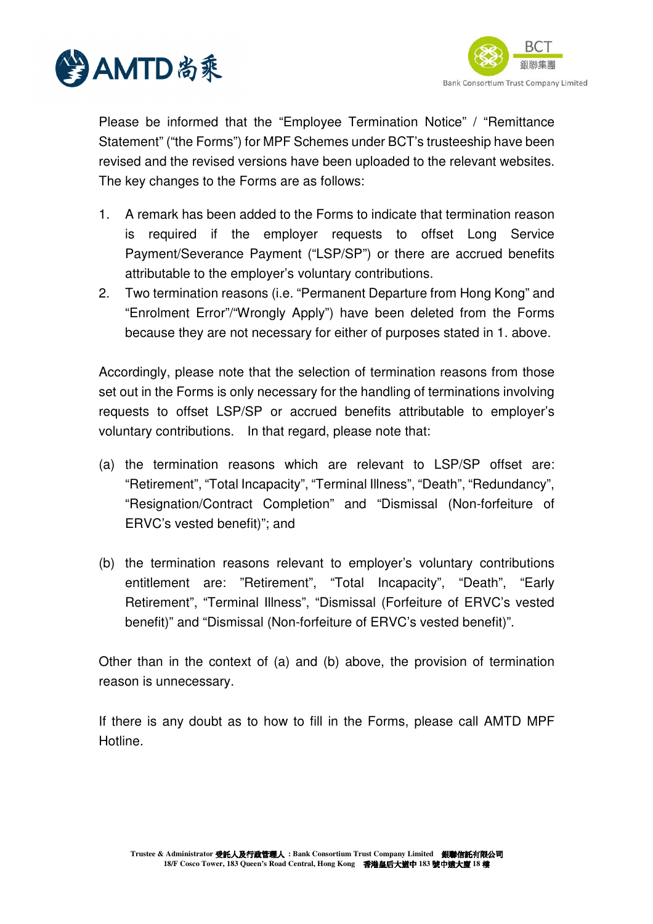



Please be informed that the "Employee Termination Notice" / "Remittance Statement" ("the Forms") for MPF Schemes under BCT's trusteeship have been revised and the revised versions have been uploaded to the relevant websites. The key changes to the Forms are as follows:

- 1. A remark has been added to the Forms to indicate that termination reason is required if the employer requests to offset Long Service Payment/Severance Payment ("LSP/SP") or there are accrued benefits attributable to the employer's voluntary contributions.
- 2. Two termination reasons (i.e. "Permanent Departure from Hong Kong" and "Enrolment Error"/"Wrongly Apply") have been deleted from the Forms because they are not necessary for either of purposes stated in 1. above.

Accordingly, please note that the selection of termination reasons from those set out in the Forms is only necessary for the handling of terminations involving requests to offset LSP/SP or accrued benefits attributable to employer's voluntary contributions. In that regard, please note that:

- (a) the termination reasons which are relevant to LSP/SP offset are: "Retirement", "Total Incapacity", "Terminal Illness", "Death", "Redundancy", "Resignation/Contract Completion" and "Dismissal (Non-forfeiture of ERVC's vested benefit)"; and
- (b) the termination reasons relevant to employer's voluntary contributions entitlement are: "Retirement", "Total Incapacity", "Death", "Early Retirement", "Terminal Illness", "Dismissal (Forfeiture of ERVC's vested benefit)" and "Dismissal (Non-forfeiture of ERVC's vested benefit)".

Other than in the context of (a) and (b) above, the provision of termination reason is unnecessary.

If there is any doubt as to how to fill in the Forms, please call AMTD MPF Hotline.